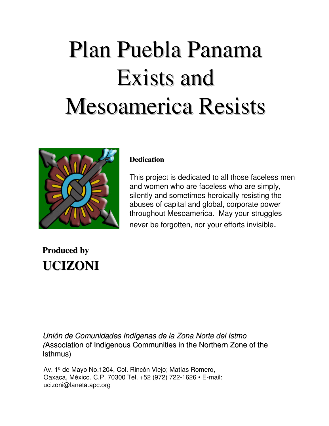# Plan Puebla Panama Exists and Mesoamerica Resists



#### **Dedication**

This project is dedicated to all those faceless men and women who are faceless who are simply, silently and sometimes heroically resisting the abuses of capital and global, corporate power throughout Mesoamerica. May your struggles never be forgotten, nor your efforts invisible.

#### **Produced by UCIZONI**

Unión de Comunidades Indígenas de la Zona Norte del Istmo (Association of Indigenous Communities in the Northern Zone of the Isthmus)

Av. 1º de Mayo No.1204, Col. Rincón Viejo; Matías Romero, Oaxaca, México. C.P. 70300 Tel. +52 (972) 722-1626 • E-mail: ucizoni@laneta.apc.org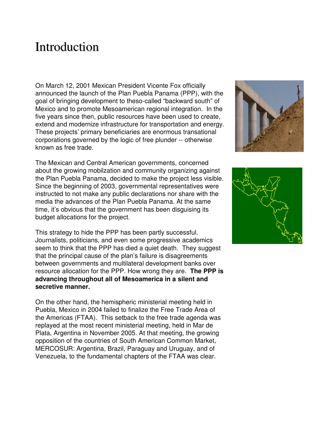#### Introduction

On March 12, 2001 Mexican President Vicente Fox officially announced the launch of the Plan Puebla Panama (PPP), with the goal of bringing development to theso-called "backward south" of Mexico and to promote Mesoamerican regional integration. In the five years since then, public resources have been used to create, extend and modernize infrastructure for transportation and energy. These projects' primary beneficiaries are enormous transational corporations governed by the logic of free plunder -- otherwise known as free trade.

The Mexican and Central American governments, concerned about the growing mobilzation and community organizing against the Plan Puebla Panama, decided to make the project less visible. Since the beginning of 2003, governmental representatives were instructed to not make any public declarations nor share with the media the advances of the Plan Puebla Panama. At the same time, it's obvious that the government has been disguising its budget allocations for the project.

This strategy to hide the PPP has been partly successful. Journalists, politicians, and even some progressive academics seem to think that the PPP has died a quiet death. They suggest that the principal cause of the plan's failure is disagreements between governments and multilateral development banks over resource allocation for the PPP. How wrong they are. **The PPP is advancing throughout all of Mesoamerica in a silent and secretive manner.**

On the other hand, the hemispheric ministerial meeting held in Puebla, Mexico in 2004 failed to finalize the Free Trade Area of the Americas (FTAA). This setback to the free trade agenda was replayed at the most recent ministerial meeting, held in Mar de Plata, Argentina in November 2005. At that meeting, the growing opposition of the countries of South American Common Market, MERCOSUR: Argentina, Brazil, Paraguay and Uruguay, and of Venezuela, to the fundamental chapters of the FTAA was clear.



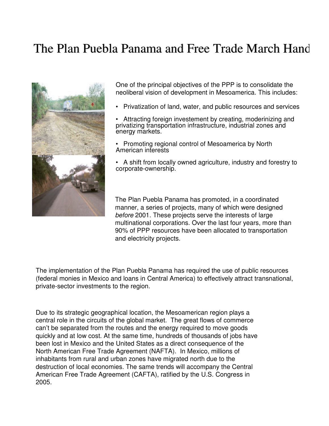#### The Plan Puebla Panama and Free Trade March Hand



One of the principal objectives of the PPP is to consolidate the neoliberal vision of development in Mesoamerica. This includes:

• Privatization of land, water, and public resources and services

Attracting foreign investement by creating, moderinizing and privatizing transportation infrastructure, industrial zones and energy markets.

• Promoting regional control of Mesoamerica by North American interests

• A shift from locally owned agriculture, industry and forestry to corporate-ownership.

The Plan Puebla Panama has promoted, in a coordinated manner, a series of projects, many of which were designed before 2001. These projects serve the interests of large multinational corporations. Over the last four years, more than 90% of PPP resources have been allocated to transportation and electricity projects.

The implementation of the Plan Puebla Panama has required the use of public resources (federal monies in Mexico and loans in Central America) to effectively attract transnational, private-sector investments to the region.

Due to its strategic geographical location, the Mesoamerican region plays a central role in the circuits of the global market. The great flows of commerce can't be separated from the routes and the energy required to move goods quickly and at low cost. At the same time, hundreds of thousands of jobs have been lost in Mexico and the United States as a direct consequence of the North American Free Trade Agreement (NAFTA). In Mexico, millions of inhabitants from rural and urban zones have migrated north due to the destruction of local economies. The same trends will accompany the Central American Free Trade Agreement (CAFTA), ratified by the U.S. Congress in 2005.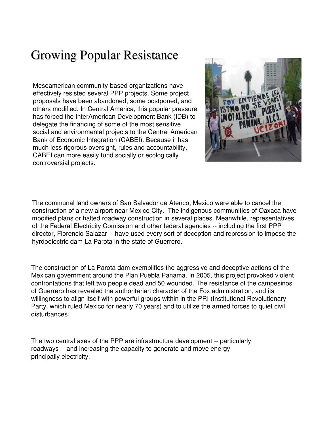## Growing Popular Resistance

Mesoamerican community-based organizations have effectively resisted several PPP projects. Some project proposals have been abandoned, some postponed, and others modified. In Central America, this popular pressure has forced the InterAmerican Development Bank (IDB) to delegate the financing of some of the most sensitive social and environmental projects to the Central American Bank of Economic Integration (CABEI). Because it has much less rigorous oversight, rules and accountability, CABEI can more easily fund socially or ecologically controversial projects.

![](_page_3_Picture_2.jpeg)

The communal land owners of San Salvador de Atenco, Mexico were able to cancel the construction of a new airport near Mexico City. The indigenous communities of Oaxaca have modified plans or halted roadway construction in several places. Meanwhile, representatives of the Federal Electricity Comission and other federal agencies -- including the first PPP director, Florencio Salazar -- have used every sort of deception and repression to impose the hyrdoelectric dam La Parota in the state of Guerrero.

The construction of La Parota dam exemplifies the aggressive and deceptive actions of the Mexican government around the Plan Puebla Panama. In 2005, this project provoked violent confrontations that left two people dead and 50 wounded. The resistance of the campesinos of Guerrero has revealed the authoritarian character of the Fox administration, and its willingness to align itself with powerful groups within in the PRI (Institutional Revolutionary Party, which ruled Mexico for nearly 70 years) and to utilize the armed forces to quiet civil disturbances.

The two central axes of the PPP are infrastructure development -- particularly roadways -- and increasing the capacity to generate and move energy - principally electricity.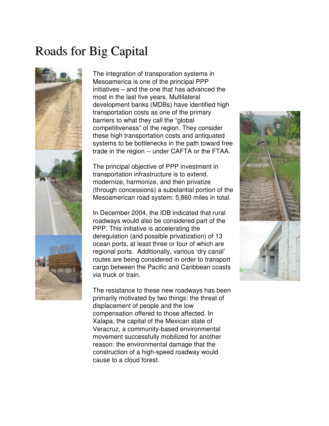#### Roads for Big Capital

![](_page_4_Picture_1.jpeg)

The integration of transporation systems in Mesoamerica is one of the principal PPP initiatives – and the one that has advanced the most in the last five years. Multilateral development banks (MDBs) have identified high transportation costs as one of the primary barriers to what they call the "global competitiveness" of the region. They consider these high transportation costs and antiquated systems to be bottlenecks in the path toward free trade in the region -- under CAFTA or the FTAA.

The principal objective of PPP investment in transportation infrastructure is to extend, modernize, harmonize, and then privatize (through concessions) a substantial portion of the Mesoamerican road system: 5,860 miles in total.

In December 2004, the IDB indicated that rural roadways would also be considered part of the PPP. This initiative is accelerating the deregulation (and possible privatization) of 13 ocean ports, at least three or four of which are regional ports. Additionally, various 'dry canal' routes are being considered in order to transport cargo between the Pacific and Caribbean coasts via truck or train.

The resistance to these new roadways has been primarily motivated by two things: the threat of displacement of people and the low compensation offered to those affected. In Xalapa, the capital of the Mexican state of Veracruz, a community-based environmental movement successfully mobilized for another reason: the environmental damage that the construction of a high-speed roadway would cause to a cloud forest.

![](_page_4_Picture_6.jpeg)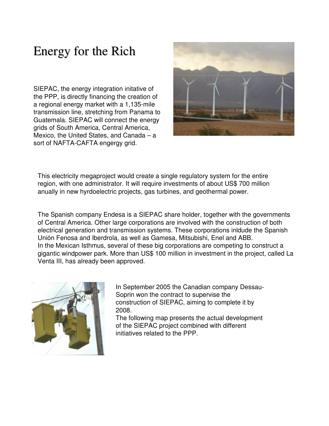### Energy for the Rich

SIEPAC, the energy integration initative of the PPP, is directly financing the creation of a regional energy market with a 1,135-mile transmission line, stretching from Panama to Guatemala. SIEPAC will connect the energy grids of South America, Central America, Mexico, the United States, and Canada – a sort of NAFTA-CAFTA engergy grid.

![](_page_5_Picture_2.jpeg)

This electricity megaproject would create a single regulatory system for the entire region, with one administrator. It will require investments of about US\$ 700 million anually in new hyrdoelectric projects, gas turbines, and geothermal power.

The Spanish company Endesa is a SIEPAC share holder, together with the governments of Central America. Other large corporations are involved with the construction of both electrical generation and transmission systems. These corporations inldude the Spanish Unión Fenosa and Iberdrola, as well as Gamesa, Mitsubishi, Enel and ABB. In the Mexican Isthmus, several of these big corporations are competing to construct a gigantic windpower park. More than US\$ 100 million in investment in the project, called La Venta III, has already been approved.

![](_page_5_Picture_5.jpeg)

In September 2005 the Canadian company Dessau-Soprin won the contract to supervise the construction of SIEPAC, aiming to complete it by 2008.

The following map presents the actual development of the SIEPAC project combined with different initiatives related to the PPP.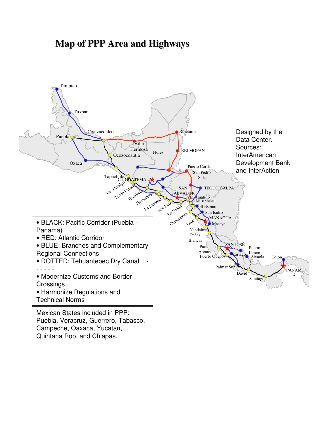#### **Map of PPP Area and Highways**

![](_page_6_Figure_1.jpeg)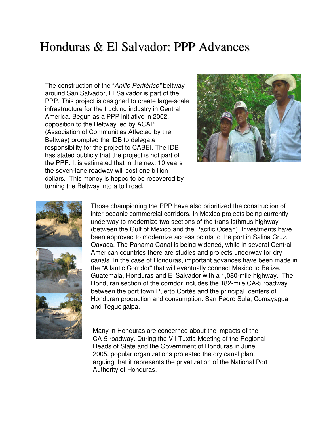#### Honduras & El Salvador: PPP Advances

The construction of the "Anillo Periférico" beltway around San Salvador, El Salvador is part of the PPP. This project is designed to create large-scale infrastructure for the trucking industry in Central America. Begun as a PPP initiative in 2002, opposition to the Beltway led by ACAP (Association of Communities Affected by the Beltway) prompted the IDB to delegate responsibility for the project to CABEI. The IDB has stated publicly that the project is not part of the PPP. It is estimated that in the next 10 years the seven-lane roadway will cost one billion dollars. This money is hoped to be recovered by turning the Beltway into a toll road.

![](_page_7_Picture_2.jpeg)

![](_page_7_Picture_3.jpeg)

Those championing the PPP have also prioritized the construction of inter-oceanic commercial corridors. In Mexico projects being currently underway to modernize two sections of the trans-isthmus highway (between the Gulf of Mexico and the Pacific Ocean). Investments have been approved to modernize access points to the port in Salina Cruz, Oaxaca. The Panama Canal is being widened, while in several Central American countries there are studies and projects underway for dry canals. In the case of Honduras, important advances have been made in the "Atlantic Corridor" that will eventually connect Mexico to Belize, Guatemala, Honduras and El Salvador with a 1,080-mile highway. The Honduran section of the corridor includes the 182-mile CA-5 roadway between the port town Puerto Cortés and the principal centers of Honduran production and consumption: San Pedro Sula, Comayagua and Tegucigalpa.

Many in Honduras are concerned about the impacts of the CA-5 roadway. During the VII Tuxtla Meeting of the Regional Heads of State and the Government of Honduras in June 2005, popular organizations protested the dry canal plan, arguing that it represents the privatization of the National Port Authority of Honduras.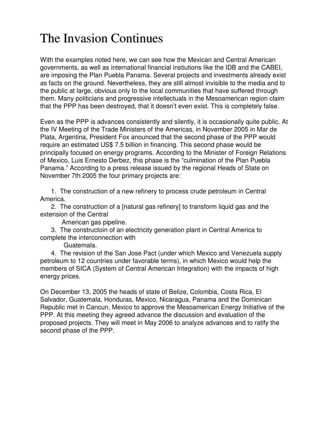### The Invasion Continues

With the examples noted here, we can see how the Mexican and Central American governments, as well as international financial instiutions like the IDB and the CABEI, are imposing the Plan Puebla Panama. Several projects and investments already exist as facts on the ground. Nevertheless, they are still almost invisible to the media and to the public at large, obvious only to the local communities that have suffered through them. Many politicians and progressive intellectuals in the Mesoamerican region claim that the PPP has been destroyed, that it doesn't even exist. This is completely false.

Even as the PPP is advances consistently and silently, it is occasionally quite public. At the IV Meeting of the Trade Ministers of the Americas, in November 2005 in Mar de Plata, Argentina, President Fox anounced that the second phase of the PPP would require an estimated US\$ 7.5 billion in financing. This second phase would be principally focused on energy programs. According to the Minister of Foreign Relations of Mexico, Luis Ernesto Derbez, this phase is the "culmination of the Plan Puebla Panama." According to a press release issued by the regional Heads of State on November 7th 2005 the four primary projects are:

1. The construction of a new refinery to process crude petroleum in Central America.

2. The construction of a [natural gas refinery] to transform liquid gas and the extension of the Central

American gas pipeline.

3. The constructoin of an electricity generation plant in Central America to complete the interconnection with

Guatemala.

4. The revision of the San Jose Pact (under which Mexico and Venezuela supply petroleum to 12 countries under favorable terms), in which Mexico would help the members of SICA (System of Central American Integration) with the impacts of high energy prices.

On December 13, 2005 the heads of state of Belize, Colombia, Costa Rica, El Salvador, Guatemala, Honduras, Mexico, Nicaragua, Panama and the Dominican Republic met in Cancun, Mexico to approve the Mesoamerican Energy Initiative of the PPP. At this meeting they agreed advance the discussion and evaluation of the proposed projects. They will meet in May 2006 to analyze advances and to ratify the second phase of the PPP.